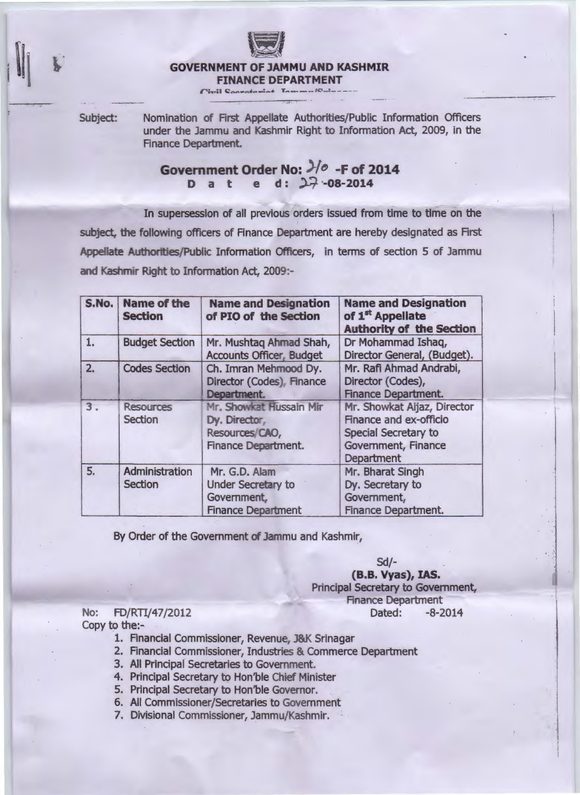

## **GOVERNMENT OF JAMMU AND KASHMIR**

**FINANCE DEPARTMENT** 

Subject: Nomination of First Appellate Authorities/Public Information Officers under the Jammu and Kashmir Right to Information Act, 2009, in the Finance Department.

## **Government Order No: 3/0 -F of 2014 D a t e d: :>-? ·-os-2014**

In supersession of all previous orders issued from time to time on the subject, the following officers of Finance Department are hereby designated as First Appellate Authorities/Public Information Officers, in terms of section 5 of Jammu and Kashmir Right to Information Act, 2009:-

| S.No. | <b>Name of the</b><br><b>Section</b> | <b>Name and Designation</b><br>of PIO of the Section                                     | <b>Name and Designation</b><br>of 1 <sup>st</sup> Appellate<br><b>Authority of the Section</b>                            |
|-------|--------------------------------------|------------------------------------------------------------------------------------------|---------------------------------------------------------------------------------------------------------------------------|
| 1.    | <b>Budget Section</b>                | Mr. Mushtag Ahmad Shah,<br><b>Accounts Officer, Budget</b>                               | Dr Mohammad Ishaq,<br>Director General, (Budget).                                                                         |
| 2.    | <b>Codes Section</b>                 | Ch. Imran Mehmood Dy.<br>Director (Codes), Finance<br>Department.                        | Mr. Rafi Ahmad Andrabi,<br>Director (Codes),<br><b>Finance Department.</b>                                                |
| 3.    | <b>Resources</b><br><b>Section</b>   | Mr. Showkat Hussain Mir<br>Dy. Director,<br>Resources/CAO,<br><b>Finance Department.</b> | Mr. Showkat Aijaz, Director<br><b>Finance and ex-officio</b><br>Special Secretary to<br>Government, Finance<br>Department |
| 5.    | Administration<br><b>Section</b>     | Mr. G.D. Alam<br>Under Secretary to<br>Government,<br><b>Finance Department</b>          | Mr. Bharat Singh<br>Dy. Secretary to<br>Government,<br><b>Finance Department.</b>                                         |

By Order of the Government of Jammu and Kashmir,

Sd/-

------

**(B.B. Vyas),** IAS. Principal Secretary to Government, **Finance Department** No: FD/RTI/47/2012 Dated: -8-2014

Copy to the:-

- 1. Financial Commissioner, Revenue, J&K Srinagar
- 2. Financial Commissioner, Industries & Commerce Department
- 3. All Principal Secretaries to Government.
- 4. Principal Secretary to Hon'ble Chief Minister
- 5. Principal Secretary to Hon'ble Governor.
- 6. All Commissioner/Secretaries to Government
- 7. Divisional Commissioner, Jammu/Kashmir.